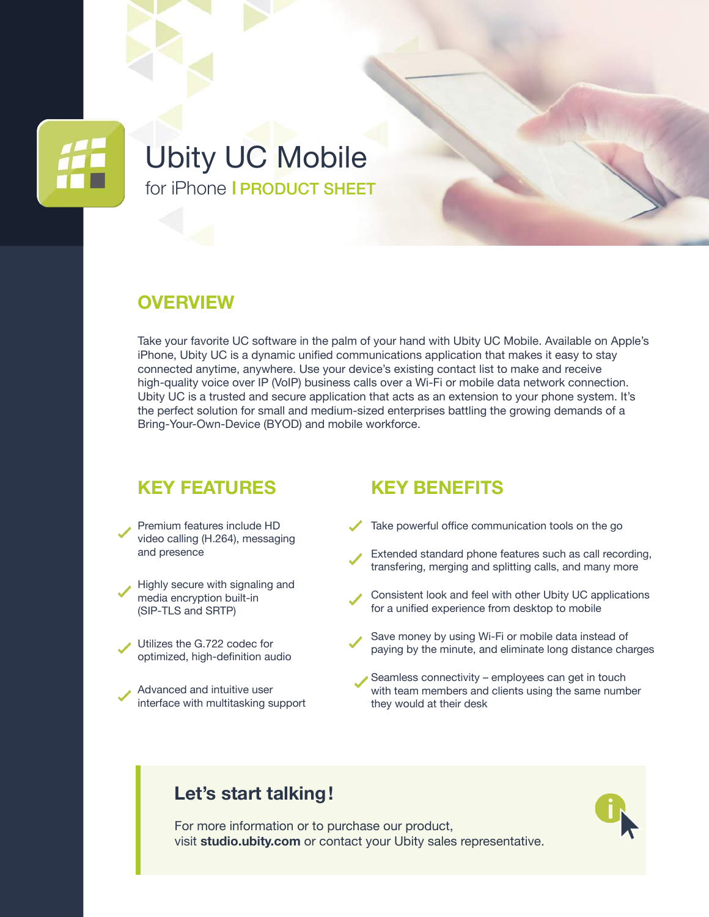

# Ubity UC Mobile for iPhone I PRODUCT SHEET

#### **OVERVIEW**

Take your favorite UC software in the palm of your hand with Ubity UC Mobile. Available on Apple's iPhone, Ubity UC is a dynamic unified communications application that makes it easy to stay connected anytime, anywhere. Use your device's existing contact list to make and receive high-quality voice over IP (VoIP) business calls over a Wi-Fi or mobile data network connection. Ubity UC is a trusted and secure application that acts as an extension to your phone system. It's the perfect solution for small and medium-sized enterprises battling the growing demands of a Bring-Your-Own-Device (BYOD) and mobile workforce.

#### **KEY FEATURES**

- Premium features include HD video calling (H.264), messaging and presence
- Highly secure with signaling and media encryption built-in (SIP-TLS and SRTP)
- Utilizes the G.722 codec for optimized, high-definition audio
- Advanced and intuitive user interface with multitasking support

#### **KEY BENEFITS**

- Take powerful office communication tools on the go
- Extended standard phone features such as call recording, transfering, merging and splitting calls, and many more
- Consistent look and feel with other Ubity UC applications for a unified experience from desktop to mobile
- Save money by using Wi-Fi or mobile data instead of paying by the minute, and eliminate long distance charges
- Seamless connectivity employees can get in touch with team members and clients using the same number they would at their desk

#### **Let's start talking!**

For more information or to purchase our product, visit **[studio.ubity.com](https://studio.ubity.com)** or contact your Ubity sales representative.